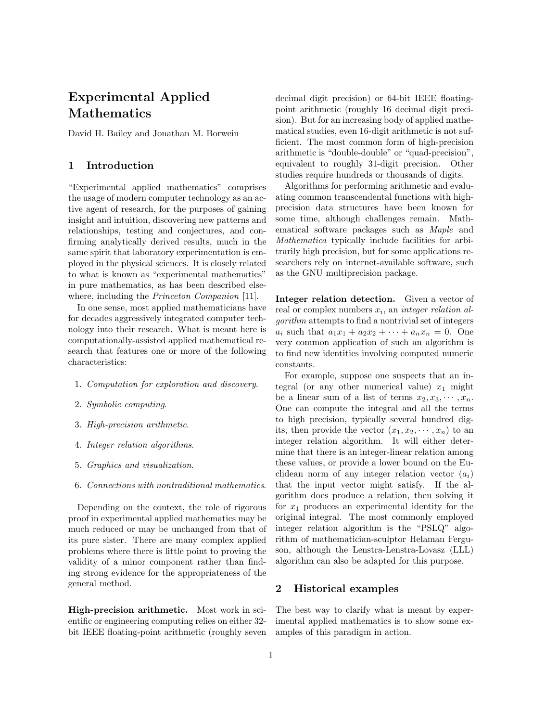# Experimental Applied Mathematics

David H. Bailey and Jonathan M. Borwein

# 1 Introduction

"Experimental applied mathematics" comprises the usage of modern computer technology as an active agent of research, for the purposes of gaining insight and intuition, discovering new patterns and relationships, testing and conjectures, and confirming analytically derived results, much in the same spirit that laboratory experimentation is employed in the physical sciences. It is closely related to what is known as "experimental mathematics" in pure mathematics, as has been described elsewhere, including the *Princeton Companion* [11].

In one sense, most applied mathematicians have for decades aggressively integrated computer technology into their research. What is meant here is computationally-assisted applied mathematical research that features one or more of the following characteristics:

- 1. Computation for exploration and discovery.
- 2. Symbolic computing.
- 3. High-precision arithmetic.
- 4. Integer relation algorithms.
- 5. Graphics and visualization.
- 6. Connections with nontraditional mathematics.

Depending on the context, the role of rigorous proof in experimental applied mathematics may be much reduced or may be unchanged from that of its pure sister. There are many complex applied problems where there is little point to proving the validity of a minor component rather than finding strong evidence for the appropriateness of the general method.

High-precision arithmetic. Most work in scientific or engineering computing relies on either 32 bit IEEE floating-point arithmetic (roughly seven decimal digit precision) or 64-bit IEEE floatingpoint arithmetic (roughly 16 decimal digit precision). But for an increasing body of applied mathematical studies, even 16-digit arithmetic is not sufficient. The most common form of high-precision arithmetic is "double-double" or "quad-precision", equivalent to roughly 31-digit precision. Other studies require hundreds or thousands of digits.

Algorithms for performing arithmetic and evaluating common transcendental functions with highprecision data structures have been known for some time, although challenges remain. Mathematical software packages such as Maple and Mathematica typically include facilities for arbitrarily high precision, but for some applications researchers rely on internet-available software, such as the GNU multiprecision package.

Integer relation detection. Given a vector of real or complex numbers  $x_i$ , an *integer relation al*gorithm attempts to find a nontrivial set of integers  $a_i$  such that  $a_1x_1 + a_2x_2 + \cdots + a_nx_n = 0$ . One very common application of such an algorithm is to find new identities involving computed numeric constants.

For example, suppose one suspects that an integral (or any other numerical value)  $x_1$  might be a linear sum of a list of terms  $x_2, x_3, \cdots, x_n$ . One can compute the integral and all the terms to high precision, typically several hundred digits, then provide the vector  $(x_1, x_2, \dots, x_n)$  to an integer relation algorithm. It will either determine that there is an integer-linear relation among these values, or provide a lower bound on the Euclidean norm of any integer relation vector  $(a_i)$ that the input vector might satisfy. If the algorithm does produce a relation, then solving it for  $x_1$  produces an experimental identity for the original integral. The most commonly employed integer relation algorithm is the "PSLQ" algorithm of mathematician-sculptor Helaman Ferguson, although the Lenstra-Lenstra-Lovasz (LLL) algorithm can also be adapted for this purpose.

# 2 Historical examples

The best way to clarify what is meant by experimental applied mathematics is to show some examples of this paradigm in action.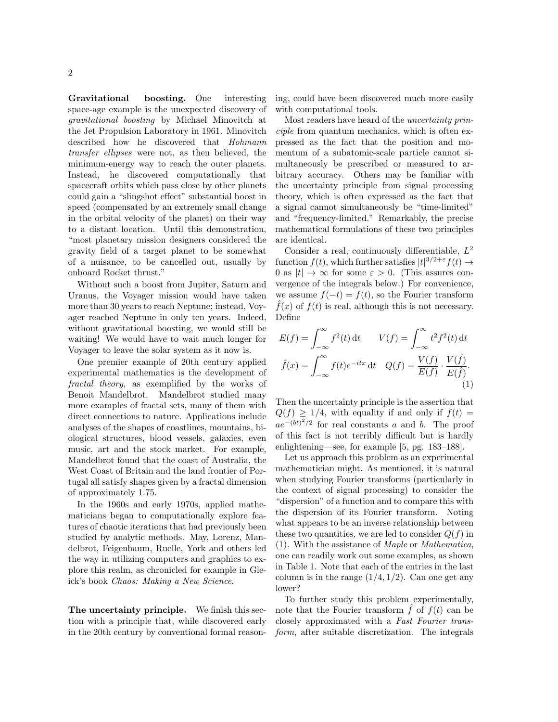Gravitational boosting. One interesting space-age example is the unexpected discovery of gravitational boosting by Michael Minovitch at the Jet Propulsion Laboratory in 1961. Minovitch described how he discovered that Hohmann transfer ellipses were not, as then believed, the minimum-energy way to reach the outer planets. Instead, he discovered computationally that spacecraft orbits which pass close by other planets could gain a "slingshot effect" substantial boost in speed (compensated by an extremely small change in the orbital velocity of the planet) on their way to a distant location. Until this demonstration, "most planetary mission designers considered the gravity field of a target planet to be somewhat of a nuisance, to be cancelled out, usually by onboard Rocket thrust."

Without such a boost from Jupiter, Saturn and Uranus, the Voyager mission would have taken more than 30 years to reach Neptune; instead, Voyager reached Neptune in only ten years. Indeed, without gravitational boosting, we would still be waiting! We would have to wait much longer for Voyager to leave the solar system as it now is.

One premier example of 20th century applied experimental mathematics is the development of fractal theory, as exemplified by the works of Benoit Mandelbrot. Mandelbrot studied many more examples of fractal sets, many of them with direct connections to nature. Applications include analyses of the shapes of coastlines, mountains, biological structures, blood vessels, galaxies, even music, art and the stock market. For example, Mandelbrot found that the coast of Australia, the West Coast of Britain and the land frontier of Portugal all satisfy shapes given by a fractal dimension of approximately 1.75.

In the 1960s and early 1970s, applied mathematicians began to computationally explore features of chaotic iterations that had previously been studied by analytic methods. May, Lorenz, Mandelbrot, Feigenbaum, Ruelle, York and others led the way in utilizing computers and graphics to explore this realm, as chronicled for example in Gleick's book Chaos: Making a New Science.

The uncertainty principle. We finish this section with a principle that, while discovered early in the 20th century by conventional formal reasoning, could have been discovered much more easily with computational tools.

Most readers have heard of the uncertainty principle from quantum mechanics, which is often expressed as the fact that the position and momentum of a subatomic-scale particle cannot simultaneously be prescribed or measured to arbitrary accuracy. Others may be familiar with the uncertainty principle from signal processing theory, which is often expressed as the fact that a signal cannot simultaneously be "time-limited" and "frequency-limited." Remarkably, the precise mathematical formulations of these two principles are identical.

Consider a real, continuously differentiable,  $L^2$ function  $f(t)$ , which further satisfies  $|t|^{3/2+\varepsilon}f(t) \rightarrow$ 0 as  $|t| \to \infty$  for some  $\varepsilon > 0$ . (This assures convergence of the integrals below.) For convenience, we assume  $f(-t) = f(t)$ , so the Fourier transform  $\hat{f}(x)$  of  $f(t)$  is real, although this is not necessary. Define

$$
E(f) = \int_{-\infty}^{\infty} f^2(t) dt \qquad V(f) = \int_{-\infty}^{\infty} t^2 f^2(t) dt
$$

$$
\hat{f}(x) = \int_{-\infty}^{\infty} f(t)e^{-itx} dt \quad Q(f) = \frac{V(f)}{E(f)} \cdot \frac{V(\hat{f})}{E(\hat{f})}.
$$
(1)

Then the uncertainty principle is the assertion that  $Q(f) \geq 1/4$ , with equality if and only if  $f(t) =$  $ae^{-(bt)^2/2}$  for real constants a and b. The proof of this fact is not terribly difficult but is hardly enlightening—see, for example [5, pg. 183–188].

Let us approach this problem as an experimental mathematician might. As mentioned, it is natural when studying Fourier transforms (particularly in the context of signal processing) to consider the "dispersion" of a function and to compare this with the dispersion of its Fourier transform. Noting what appears to be an inverse relationship between these two quantities, we are led to consider  $Q(f)$  in (1). With the assistance of Maple or Mathematica, one can readily work out some examples, as shown in Table 1. Note that each of the entries in the last column is in the range  $(1/4, 1/2)$ . Can one get any lower?

To further study this problem experimentally, note that the Fourier transform  $\ddot{f}$  of  $f(t)$  can be closely approximated with a Fast Fourier transform, after suitable discretization. The integrals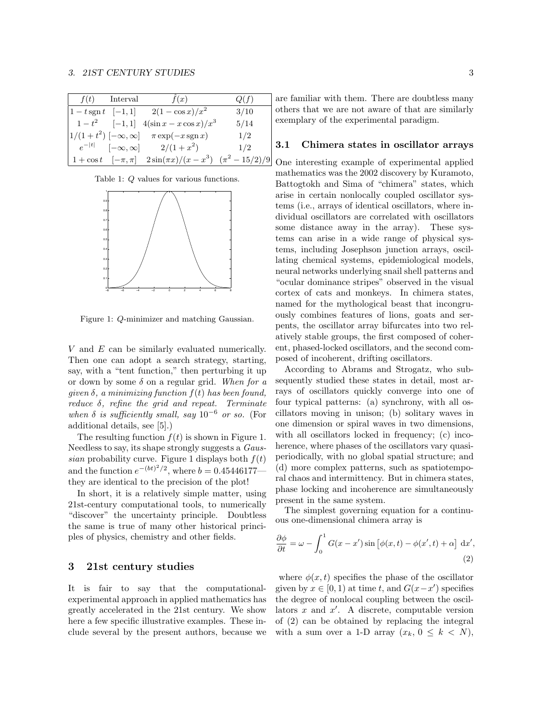| f(t) | Interval | f(x)                                                                                                     | Q(f) |
|------|----------|----------------------------------------------------------------------------------------------------------|------|
|      |          | $\left 1-t\right \ \mathrm{sgn}\,t\ \ \left[-1,1\right]\ \ 2(1-\cos x)/x^2$                              | 3/10 |
|      |          | $1-t^2$ [-1, 1] $4(\sin x - x \cos x)/x^3$                                                               | 5/14 |
|      |          | $1/(1+t^2)$ $[-\infty,\infty]$ $\pi \exp(-x \operatorname{sgn} x)$                                       | 1/2  |
|      |          | $e^{- t }$ $[-\infty,\infty]$ $2/(1+x^2)$                                                                | 1/2  |
|      |          | $\left  1 + \cos t \right  - \pi, \pi \right $ $2 \sin(\pi x)/(x - x^3) \left( \pi^2 - 15/2 \right) / 9$ |      |

Table 1: Q values for various functions.



Figure 1: Q-minimizer and matching Gaussian.

V and E can be similarly evaluated numerically. Then one can adopt a search strategy, starting, say, with a "tent function," then perturbing it up or down by some  $\delta$  on a regular grid. When for a qiven  $\delta$ , a minimizing function  $f(t)$  has been found, reduce  $\delta$ , refine the grid and repeat. Terminate when  $\delta$  is sufficiently small, say 10<sup>-6</sup> or so. (For additional details, see [5].)

The resulting function  $f(t)$  is shown in Figure 1. Needless to say, its shape strongly suggests a Gaussian probability curve. Figure 1 displays both  $f(t)$ and the function  $e^{-(bt)^2/2}$ , where  $b = 0.45446177$  they are identical to the precision of the plot!

In short, it is a relatively simple matter, using 21st-century computational tools, to numerically "discover" the uncertainty principle. Doubtless the same is true of many other historical principles of physics, chemistry and other fields.

# 3 21st century studies

It is fair to say that the computationalexperimental approach in applied mathematics has greatly accelerated in the 21st century. We show here a few specific illustrative examples. These include several by the present authors, because we are familiar with them. There are doubtless many others that we are not aware of that are similarly exemplary of the experimental paradigm.

### 3.1 Chimera states in oscillator arrays

One interesting example of experimental applied mathematics was the 2002 discovery by Kuramoto, Battogtokh and Sima of "chimera" states, which arise in certain nonlocally coupled oscillator systems (i.e., arrays of identical oscillators, where individual oscillators are correlated with oscillators some distance away in the array). These systems can arise in a wide range of physical systems, including Josephson junction arrays, oscillating chemical systems, epidemiological models, neural networks underlying snail shell patterns and "ocular dominance stripes" observed in the visual cortex of cats and monkeys. In chimera states, named for the mythological beast that incongruously combines features of lions, goats and serpents, the oscillator array bifurcates into two relatively stable groups, the first composed of coherent, phased-locked oscillators, and the second composed of incoherent, drifting oscillators.

According to Abrams and Strogatz, who subsequently studied these states in detail, most arrays of oscillators quickly converge into one of four typical patterns: (a) synchrony, with all oscillators moving in unison; (b) solitary waves in one dimension or spiral waves in two dimensions, with all oscillators locked in frequency; (c) incoherence, where phases of the oscillators vary quasiperiodically, with no global spatial structure; and (d) more complex patterns, such as spatiotemporal chaos and intermittency. But in chimera states, phase locking and incoherence are simultaneously present in the same system.

The simplest governing equation for a continuous one-dimensional chimera array is

$$
\frac{\partial \phi}{\partial t} = \omega - \int_0^1 G(x - x') \sin \left[ \phi(x, t) - \phi(x', t) + \alpha \right] dx',
$$
\n(2)

where  $\phi(x, t)$  specifies the phase of the oscillator given by  $x \in [0, 1)$  at time t, and  $G(x - x')$  specifies the degree of nonlocal coupling between the oscillators  $x$  and  $x'$ . A discrete, computable version of (2) can be obtained by replacing the integral with a sum over a 1-D array  $(x_k, 0 \leq k \leq N)$ ,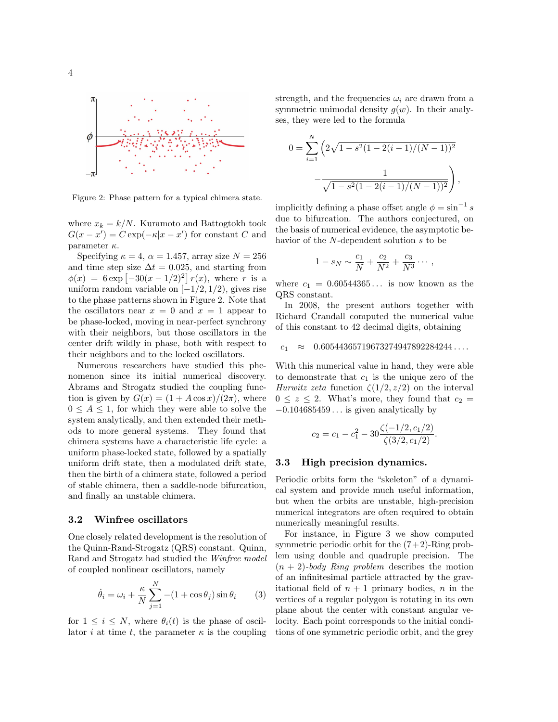

Figure 2: Phase pattern for a typical chimera state.

where  $x_k = k/N$ . Kuramoto and Battogtokh took  $G(x - x') = C \exp(-\kappa |x - x')$  for constant C and parameter  $\kappa$ .

Specifying  $\kappa = 4$ ,  $\alpha = 1.457$ , array size  $N = 256$ and time step size  $\Delta t = 0.025$ , and starting from  $\phi(x) = 6 \exp \left[ -30(x - 1/2)^2 \right] r(x)$ , where r is a uniform random variable on  $[-1/2, 1/2)$ , gives rise to the phase patterns shown in Figure 2. Note that the oscillators near  $x = 0$  and  $x = 1$  appear to be phase-locked, moving in near-perfect synchrony with their neighbors, but those oscillators in the center drift wildly in phase, both with respect to their neighbors and to the locked oscillators.

Numerous researchers have studied this phenomenon since its initial numerical discovery. Abrams and Strogatz studied the coupling function is given by  $G(x) = (1 + A \cos x)/(2\pi)$ , where  $0 \leq A \leq 1$ , for which they were able to solve the system analytically, and then extended their methods to more general systems. They found that chimera systems have a characteristic life cycle: a uniform phase-locked state, followed by a spatially uniform drift state, then a modulated drift state, then the birth of a chimera state, followed a period of stable chimera, then a saddle-node bifurcation, and finally an unstable chimera.

#### 3.2 Winfree oscillators

One closely related development is the resolution of the Quinn-Rand-Strogatz (QRS) constant. Quinn, Rand and Strogatz had studied the Winfree model of coupled nonlinear oscillators, namely

$$
\dot{\theta}_i = \omega_i + \frac{\kappa}{N} \sum_{j=1}^N -(1 + \cos \theta_j) \sin \theta_i \qquad (3)
$$

for  $1 \leq i \leq N$ , where  $\theta_i(t)$  is the phase of oscillator *i* at time *t*, the parameter  $\kappa$  is the coupling strength, and the frequencies  $\omega_i$  are drawn from a symmetric unimodal density  $g(w)$ . In their analyses, they were led to the formula

$$
0 = \sum_{i=1}^{N} \left( 2\sqrt{1 - s^2(1 - 2(i - 1)/(N - 1))^2} - \frac{1}{\sqrt{1 - s^2(1 - 2(i - 1)/(N - 1))^2}} \right),
$$

implicitly defining a phase offset angle  $\phi = \sin^{-1} s$ due to bifurcation. The authors conjectured, on the basis of numerical evidence, the asymptotic behavior of the N-dependent solution s to be

$$
1 - s_N \sim \frac{c_1}{N} + \frac{c_2}{N^2} + \frac{c_3}{N^3} \cdots,
$$

where  $c_1 = 0.60544365...$  is now known as the QRS constant.

In 2008, the present authors together with Richard Crandall computed the numerical value of this constant to 42 decimal digits, obtaining

$$
c_1 \approx 0.60544365719673274947892284244\dots
$$

With this numerical value in hand, they were able to demonstrate that  $c_1$  is the unique zero of the Hurwitz zeta function  $\zeta(1/2, z/2)$  on the interval  $0 \leq z \leq 2$ . What's more, they found that  $c_2 =$  $-0.104685459...$  is given analytically by

$$
c_2 = c_1 - c_1^2 - 30 \frac{\zeta(-1/2, c_1/2)}{\zeta(3/2, c_1/2)}.
$$

### 3.3 High precision dynamics.

Periodic orbits form the "skeleton" of a dynamical system and provide much useful information, but when the orbits are unstable, high-precision numerical integrators are often required to obtain numerically meaningful results.

For instance, in Figure 3 we show computed symmetric periodic orbit for the  $(7+2)$ -Ring problem using double and quadruple precision. The  $(n + 2)$ -body Ring problem describes the motion of an infinitesimal particle attracted by the gravitational field of  $n + 1$  primary bodies, n in the vertices of a regular polygon is rotating in its own plane about the center with constant angular velocity. Each point corresponds to the initial conditions of one symmetric periodic orbit, and the grey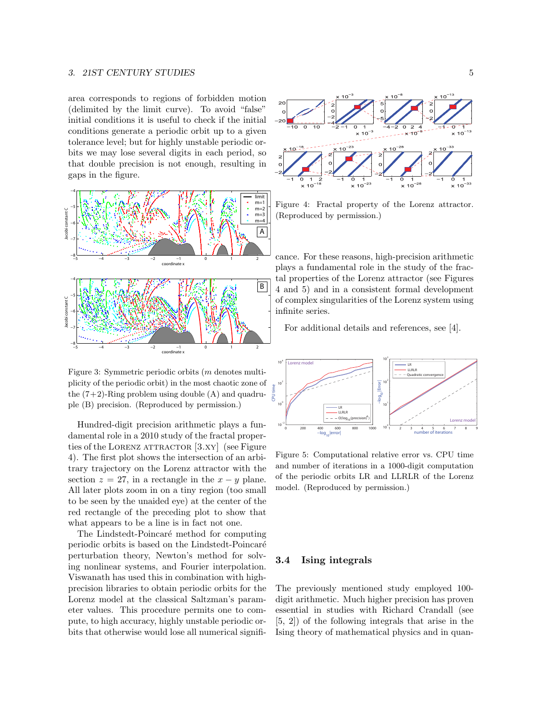# 3. 21ST CENTURY STUDIES 5

area corresponds to regions of forbidden motion (delimited by the limit curve). To avoid "false" initial conditions it is useful to check if the initial conditions generate a periodic orbit up to a given tolerance level; but for highly unstable periodic orbits we may lose several digits in each period, so that double precision is not enough, resulting in gaps in the figure.



Figure 3: Symmetric periodic orbits (m denotes multiplicity of the periodic orbit) in the most chaotic zone of the  $(7+2)$ -Ring problem using double  $(A)$  and quadruple (B) precision. (Reproduced by permission.)

Hundred-digit precision arithmetic plays a fundamental role in a 2010 study of the fractal properties of the LORENZ ATTRACTOR [3.XY] (see Figure 4). The first plot shows the intersection of an arbitrary trajectory on the Lorenz attractor with the section  $z = 27$ , in a rectangle in the  $x - y$  plane. All later plots zoom in on a tiny region (too small to be seen by the unaided eye) at the center of the red rectangle of the preceding plot to show that what appears to be a line is in fact not one.

The Lindstedt-Poincaré method for computing periodic orbits is based on the Lindstedt-Poincaré perturbation theory, Newton's method for solving nonlinear systems, and Fourier interpolation. Viswanath has used this in combination with highprecision libraries to obtain periodic orbits for the Lorenz model at the classical Saltzman's parameter values. This procedure permits one to compute, to high accuracy, highly unstable periodic orbits that otherwise would lose all numerical signifi-



Figure 4: Fractal property of the Lorenz attractor. (Reproduced by permission.)

cance. For these reasons, high-precision arithmetic plays a fundamental role in the study of the fractal properties of the Lorenz attractor (see Figures 4 and 5) and in a consistent formal development of complex singularities of the Lorenz system using infinite series.

For additional details and references, see [4].



Figure 5: Computational relative error vs. CPU time and number of iterations in a 1000-digit computation of the periodic orbits LR and LLRLR of the Lorenz model. (Reproduced by permission.)

# 3.4 Ising integrals

CPU time

The previously mentioned study employed 100 digit arithmetic. Much higher precision has proven essential in studies with Richard Crandall (see [5, 2]) of the following integrals that arise in the Ising theory of mathematical physics and in quan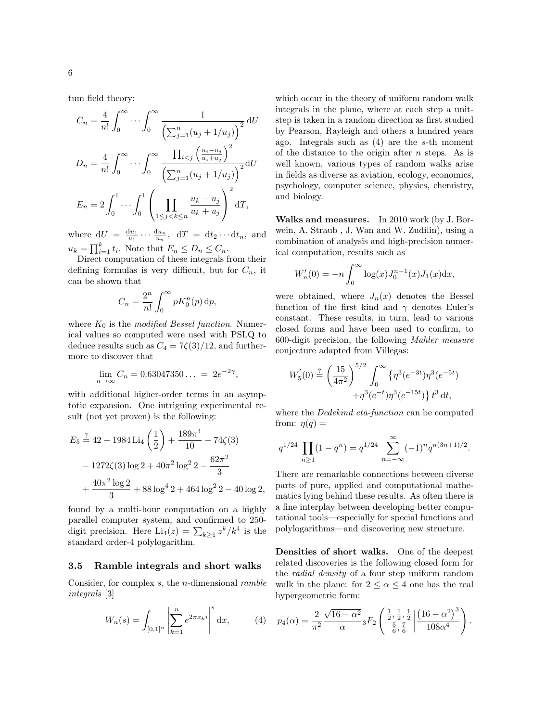tum field theory:

$$
C_n = \frac{4}{n!} \int_0^\infty \cdots \int_0^\infty \frac{1}{\left(\sum_{j=1}^n (u_j + 1/u_j)\right)^2} dU
$$
  

$$
D_n = \frac{4}{n!} \int_0^\infty \cdots \int_0^\infty \frac{\prod_{i < j} \left(\frac{u_i - u_j}{u_i + u_j}\right)^2}{\left(\sum_{j=1}^n (u_j + 1/u_j)\right)^2} dU
$$
  

$$
E_n = 2 \int_0^1 \cdots \int_0^1 \left(\prod_{1 \le j < k \le n} \frac{u_k - u_j}{u_k + u_j}\right)^2 dT,
$$

where  $dU = \frac{du_1}{u_1} \cdots \frac{du_n}{u_n}$ ,  $dT = dt_2 \cdots dt_n$ , and  $u_k = \prod_{i=1}^k t_i$ . Note that  $E_n \leq D_n \leq C_n$ .

Direct computation of these integrals from their defining formulas is very difficult, but for  $C_n$ , it can be shown that

$$
C_n = \frac{2^n}{n!} \int_0^\infty pK_0^n(p) \, \mathrm{d}p,
$$

where  $K_0$  is the modified Bessel function. Numerical values so computed were used with PSLQ to deduce results such as  $C_4 = 7\zeta(3)/12$ , and furthermore to discover that

$$
\lim_{n \to \infty} C_n = 0.63047350... = 2e^{-2\gamma},
$$

with additional higher-order terms in an asymptotic expansion. One intriguing experimental result (not yet proven) is the following:

$$
E_5 \stackrel{?}{=} 42 - 1984 \text{Li}_4\left(\frac{1}{2}\right) + \frac{189\pi^4}{10} - 74\zeta(3)
$$

$$
- 1272\zeta(3) \log 2 + 40\pi^2 \log^2 2 - \frac{62\pi^2}{3}
$$

$$
+ \frac{40\pi^2 \log 2}{3} + 88 \log^4 2 + 464 \log^2 2 - 40 \log 2,
$$

found by a multi-hour computation on a highly parallel computer system, and confirmed to 250 digit precision. Here  $\text{Li}_4(z) = \sum_{k \geq 1} z^k / k^4$  is the standard order-4 polylogarithm.

### 3.5 Ramble integrals and short walks

Consider, for complex s, the n-dimensional ramble integrals [3]

$$
W_n(s) = \int_{[0,1]^n} \left| \sum_{k=1}^n e^{2\pi x_k i} \right|^s \, \mathrm{d}x,\tag{4}
$$

which occur in the theory of uniform random walk integrals in the plane, where at each step a unitstep is taken in a random direction as first studied by Pearson, Rayleigh and others a hundred years ago. Integrals such as (4) are the s-th moment of the distance to the origin after  $n$  steps. As is well known, various types of random walks arise in fields as diverse as aviation, ecology, economics, psychology, computer science, physics, chemistry, and biology.

Walks and measures. In 2010 work (by J. Borwein, A. Straub , J. Wan and W. Zudilin), using a combination of analysis and high-precision numerical computation, results such as

$$
W'_n(0) = -n \int_0^\infty \log(x) J_0^{n-1}(x) J_1(x) \mathrm{d}x,
$$

were obtained, where  $J_n(x)$  denotes the Bessel function of the first kind and  $\gamma$  denotes Euler's constant. These results, in turn, lead to various closed forms and have been used to confirm, to 600-digit precision, the following Mahler measure conjecture adapted from Villegas:

$$
W'_{5}(0) \stackrel{?}{=} \left(\frac{15}{4\pi^{2}}\right)^{5/2} \int_{0}^{\infty} {\{\eta^{3}(e^{-3t})\eta^{3}(e^{-5t}) + \eta^{3}(e^{-t})\eta^{3}(e^{-15t})\} t^{3} dt},
$$

where the *Dedekind eta-function* can be computed from:  $\eta(q) =$ 

$$
q^{1/24} \prod_{n\geq 1} (1-q^n) = q^{1/24} \sum_{n=-\infty}^{\infty} (-1)^n q^{n(3n+1)/2}.
$$

There are remarkable connections between diverse parts of pure, applied and computational mathematics lying behind these results. As often there is a fine interplay between developing better computational tools—especially for special functions and polylogarithms—and discovering new structure.

Densities of short walks. One of the deepest related discoveries is the following closed form for the radial density of a four step uniform random walk in the plane: for  $2 \leq \alpha \leq 4$  one has the real hypergeometric form:

$$
p_4(\alpha) = \frac{2}{\pi^2} \frac{\sqrt{16 - \alpha^2}}{\alpha} {}_3F_2\left(\frac{\frac{1}{2}, \frac{1}{2}, \frac{1}{2}}{\frac{5}{6}, \frac{7}{6}} | \frac{(16 - \alpha^2)^3}{108\alpha^4}\right).
$$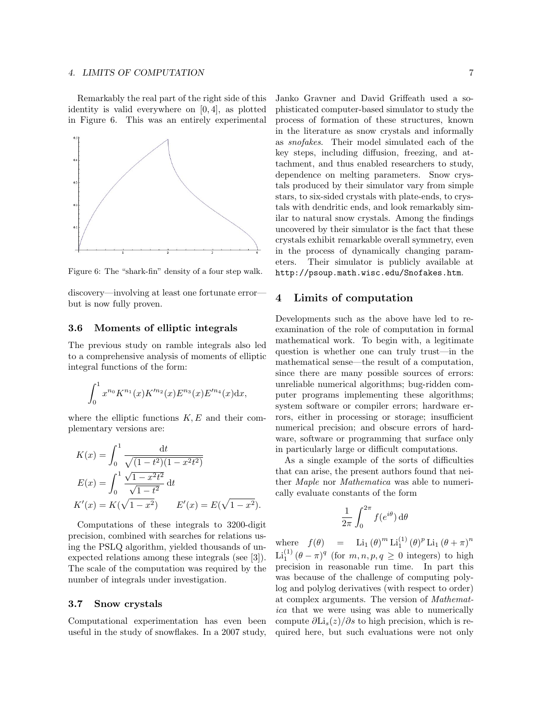#### 4. LIMITS OF COMPUTATION 7

Remarkably the real part of the right side of this identity is valid everywhere on [0, 4], as plotted in Figure 6. This was an entirely experimental



Figure 6: The "shark-fin" density of a four step walk.

discovery—involving at least one fortunate error but is now fully proven.

### 3.6 Moments of elliptic integrals

The previous study on ramble integrals also led to a comprehensive analysis of moments of elliptic integral functions of the form:

$$
\int_0^1 x^{n_0} K^{n_1}(x) K'^{n_2}(x) E^{n_3}(x) E'^{n_4}(x) \mathrm{d} x,
$$

where the elliptic functions  $K, E$  and their complementary versions are:

$$
K(x) = \int_0^1 \frac{dt}{\sqrt{(1 - t^2)(1 - x^2 t^2)}}
$$
  
\n
$$
E(x) = \int_0^1 \frac{\sqrt{1 - x^2 t^2}}{\sqrt{1 - t^2}} dt
$$
  
\n
$$
K'(x) = K(\sqrt{1 - x^2}) \qquad E'(x) = E(\sqrt{1 - x^2}).
$$

Computations of these integrals to 3200-digit precision, combined with searches for relations using the PSLQ algorithm, yielded thousands of unexpected relations among these integrals (see [3]). The scale of the computation was required by the number of integrals under investigation.

#### 3.7 Snow crystals

Computational experimentation has even been useful in the study of snowflakes. In a 2007 study,

Janko Gravner and David Griffeath used a sophisticated computer-based simulator to study the process of formation of these structures, known in the literature as snow crystals and informally as snofakes. Their model simulated each of the key steps, including diffusion, freezing, and attachment, and thus enabled researchers to study, dependence on melting parameters. Snow crystals produced by their simulator vary from simple stars, to six-sided crystals with plate-ends, to crystals with dendritic ends, and look remarkably similar to natural snow crystals. Among the findings uncovered by their simulator is the fact that these crystals exhibit remarkable overall symmetry, even in the process of dynamically changing parameters. Their simulator is publicly available at http://psoup.math.wisc.edu/Snofakes.htm.

# 4 Limits of computation

Developments such as the above have led to reexamination of the role of computation in formal mathematical work. To begin with, a legitimate question is whether one can truly trust—in the mathematical sense—the result of a computation, since there are many possible sources of errors: unreliable numerical algorithms; bug-ridden computer programs implementing these algorithms; system software or compiler errors; hardware errors, either in processing or storage; insufficient numerical precision; and obscure errors of hardware, software or programming that surface only in particularly large or difficult computations.

As a single example of the sorts of difficulties that can arise, the present authors found that neither Maple nor Mathematica was able to numerically evaluate constants of the form

$$
\frac{1}{2\pi} \int_0^{2\pi} f(e^{i\theta}) \,\mathrm{d}\theta
$$

where  $f(\theta) = \text{Li}_1(\theta)^m \text{Li}_1^{(1)}(\theta)^p \text{Li}_1(\theta + \pi)^n$  $\text{Li}_1^{(1)}(\theta - \pi)^q$  (for  $m, n, p, q \ge 0$  integers) to high precision in reasonable run time. In part this was because of the challenge of computing polylog and polylog derivatives (with respect to order) at complex arguments. The version of Mathematica that we were using was able to numerically compute  $\partial \text{Li}_s(z)/\partial s$  to high precision, which is required here, but such evaluations were not only